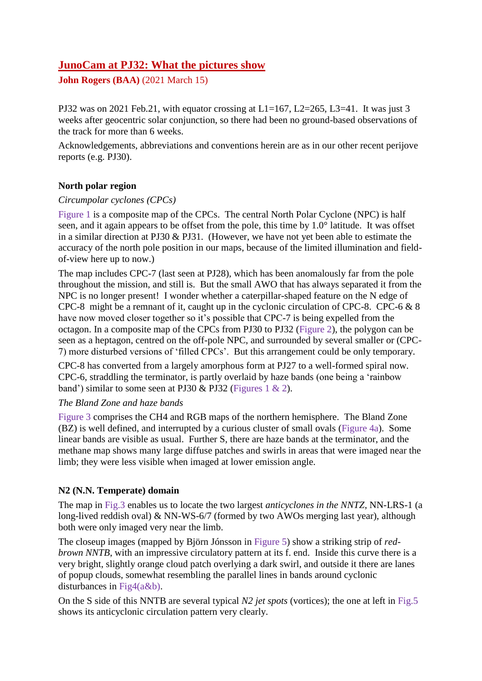# **JunoCam at PJ32: What the pictures show**

**John Rogers (BAA)** (2021 March 15)

PJ32 was on 2021 Feb.21, with equator crossing at  $L1=167$ ,  $L2=265$ ,  $L3=41$ . It was just 3 weeks after geocentric solar conjunction, so there had been no ground-based observations of the track for more than 6 weeks.

Acknowledgements, abbreviations and conventions herein are as in our other recent perijove reports (e.g. PJ30).

# **North polar region**

## *Circumpolar cyclones (CPCs)*

Figure 1 is a composite map of the CPCs. The central North Polar Cyclone (NPC) is half seen, and it again appears to be offset from the pole, this time by 1.0° latitude. It was offset in a similar direction at PJ30 & PJ31. (However, we have not yet been able to estimate the accuracy of the north pole position in our maps, because of the limited illumination and fieldof-view here up to now.)

The map includes CPC-7 (last seen at PJ28), which has been anomalously far from the pole throughout the mission, and still is. But the small AWO that has always separated it from the NPC is no longer present! I wonder whether a caterpillar-shaped feature on the N edge of CPC-8 might be a remnant of it, caught up in the cyclonic circulation of CPC-8. CPC-6 & 8 have now moved closer together so it's possible that CPC-7 is being expelled from the octagon. In a composite map of the CPCs from PJ30 to PJ32 (Figure 2), the polygon can be seen as a heptagon, centred on the off-pole NPC, and surrounded by several smaller or (CPC-7) more disturbed versions of 'filled CPCs'. But this arrangement could be only temporary.

CPC-8 has converted from a largely amorphous form at PJ27 to a well-formed spiral now. CPC-6, straddling the terminator, is partly overlaid by haze bands (one being a 'rainbow band') similar to some seen at PJ30 & PJ32 (Figures 1 & 2).

## *The Bland Zone and haze bands*

Figure 3 comprises the CH4 and RGB maps of the northern hemisphere. The Bland Zone (BZ) is well defined, and interrupted by a curious cluster of small ovals (Figure 4a). Some linear bands are visible as usual. Further S, there are haze bands at the terminator, and the methane map shows many large diffuse patches and swirls in areas that were imaged near the limb; they were less visible when imaged at lower emission angle.

## **N2 (N.N. Temperate) domain**

The map in Fig.3 enables us to locate the two largest *anticyclones in the NNTZ*, NN-LRS-1 (a long-lived reddish oval) & NN-WS-6/7 (formed by two AWOs merging last year), although both were only imaged very near the limb.

The closeup images (mapped by Björn Jónsson in Figure 5) show a striking strip of *redbrown NNTB*, with an impressive circulatory pattern at its f. end. Inside this curve there is a very bright, slightly orange cloud patch overlying a dark swirl, and outside it there are lanes of popup clouds, somewhat resembling the parallel lines in bands around cyclonic disturbances in Fig4(a&b).

On the S side of this NNTB are several typical *N2 jet spots* (vortices); the one at left in Fig.5 shows its anticyclonic circulation pattern very clearly.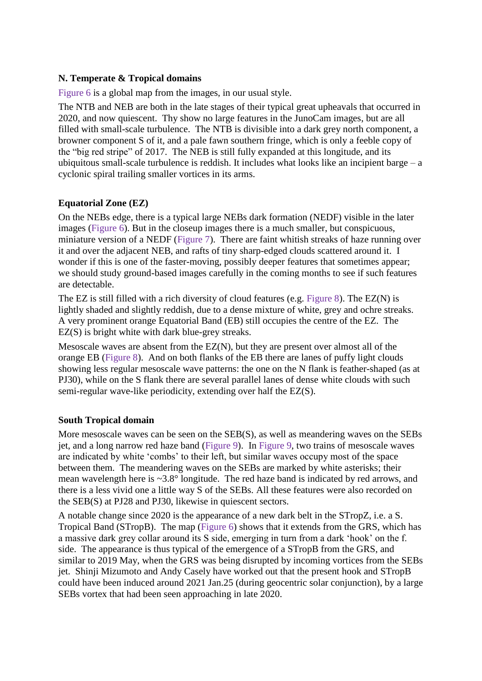## **N. Temperate & Tropical domains**

Figure 6 is a global map from the images, in our usual style.

The NTB and NEB are both in the late stages of their typical great upheavals that occurred in 2020, and now quiescent. Thy show no large features in the JunoCam images, but are all filled with small-scale turbulence. The NTB is divisible into a dark grey north component, a browner component S of it, and a pale fawn southern fringe, which is only a feeble copy of the "big red stripe" of 2017. The NEB is still fully expanded at this longitude, and its ubiquitous small-scale turbulence is reddish. It includes what looks like an incipient barge  $-$  a cyclonic spiral trailing smaller vortices in its arms.

## **Equatorial Zone (EZ)**

On the NEBs edge, there is a typical large NEBs dark formation (NEDF) visible in the later images (Figure 6). But in the closeup images there is a much smaller, but conspicuous, miniature version of a NEDF (Figure 7). There are faint whitish streaks of haze running over it and over the adjacent NEB, and rafts of tiny sharp-edged clouds scattered around it. I wonder if this is one of the faster-moving, possibly deeper features that sometimes appear; we should study ground-based images carefully in the coming months to see if such features are detectable.

The EZ is still filled with a rich diversity of cloud features (e.g. Figure 8). The EZ(N) is lightly shaded and slightly reddish, due to a dense mixture of white, grey and ochre streaks. A very prominent orange Equatorial Band (EB) still occupies the centre of the EZ. The EZ(S) is bright white with dark blue-grey streaks.

Mesoscale waves are absent from the EZ(N), but they are present over almost all of the orange EB (Figure 8). And on both flanks of the EB there are lanes of puffy light clouds showing less regular mesoscale wave patterns: the one on the N flank is feather-shaped (as at PJ30), while on the S flank there are several parallel lanes of dense white clouds with such semi-regular wave-like periodicity, extending over half the EZ(S).

#### **South Tropical domain**

More mesoscale waves can be seen on the SEB(S), as well as meandering waves on the SEBs jet, and a long narrow red haze band (Figure 9). In Figure 9, two trains of mesoscale waves are indicated by white 'combs' to their left, but similar waves occupy most of the space between them. The meandering waves on the SEBs are marked by white asterisks; their mean wavelength here is ~3.8° longitude. The red haze band is indicated by red arrows, and there is a less vivid one a little way S of the SEBs. All these features were also recorded on the SEB(S) at PJ28 and PJ30, likewise in quiescent sectors.

A notable change since 2020 is the appearance of a new dark belt in the STropZ, i.e. a S. Tropical Band (STropB). The map (Figure 6) shows that it extends from the GRS, which has a massive dark grey collar around its S side, emerging in turn from a dark 'hook' on the f. side. The appearance is thus typical of the emergence of a STropB from the GRS, and similar to 2019 May, when the GRS was being disrupted by incoming vortices from the SEBs jet. Shinji Mizumoto and Andy Casely have worked out that the present hook and STropB could have been induced around 2021 Jan.25 (during geocentric solar conjunction), by a large SEBs vortex that had been seen approaching in late 2020.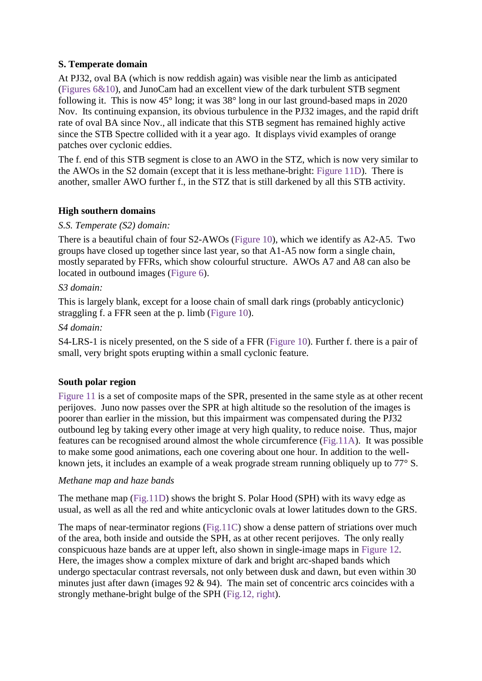## **S. Temperate domain**

At PJ32, oval BA (which is now reddish again) was visible near the limb as anticipated (Figures 6&10), and JunoCam had an excellent view of the dark turbulent STB segment following it. This is now 45° long; it was 38° long in our last ground-based maps in 2020 Nov. Its continuing expansion, its obvious turbulence in the PJ32 images, and the rapid drift rate of oval BA since Nov., all indicate that this STB segment has remained highly active since the STB Spectre collided with it a year ago. It displays vivid examples of orange patches over cyclonic eddies.

The f. end of this STB segment is close to an AWO in the STZ, which is now very similar to the AWOs in the S2 domain (except that it is less methane-bright: Figure 11D). There is another, smaller AWO further f., in the STZ that is still darkened by all this STB activity.

## **High southern domains**

## *S.S. Temperate (S2) domain:*

There is a beautiful chain of four S2-AWOs (Figure 10), which we identify as A2-A5. Two groups have closed up together since last year, so that A1-A5 now form a single chain, mostly separated by FFRs, which show colourful structure. AWOs A7 and A8 can also be located in outbound images (Figure 6).

## *S3 domain:*

This is largely blank, except for a loose chain of small dark rings (probably anticyclonic) straggling f. a FFR seen at the p. limb (Figure 10).

## *S4 domain:*

S4-LRS-1 is nicely presented, on the S side of a FFR (Figure 10). Further f. there is a pair of small, very bright spots erupting within a small cyclonic feature.

## **South polar region**

Figure 11 is a set of composite maps of the SPR, presented in the same style as at other recent perijoves. Juno now passes over the SPR at high altitude so the resolution of the images is poorer than earlier in the mission, but this impairment was compensated during the PJ32 outbound leg by taking every other image at very high quality, to reduce noise. Thus, major features can be recognised around almost the whole circumference (Fig.11A). It was possible to make some good animations, each one covering about one hour. In addition to the wellknown jets, it includes an example of a weak prograde stream running obliquely up to 77° S.

#### *Methane map and haze bands*

The methane map (Fig.11D) shows the bright S. Polar Hood (SPH) with its wavy edge as usual, as well as all the red and white anticyclonic ovals at lower latitudes down to the GRS.

The maps of near-terminator regions (Fig.11C) show a dense pattern of striations over much of the area, both inside and outside the SPH, as at other recent perijoves. The only really conspicuous haze bands are at upper left, also shown in single-image maps in Figure 12. Here, the images show a complex mixture of dark and bright arc-shaped bands which undergo spectacular contrast reversals, not only between dusk and dawn, but even within 30 minutes just after dawn (images 92 & 94). The main set of concentric arcs coincides with a strongly methane-bright bulge of the SPH (Fig.12, right).